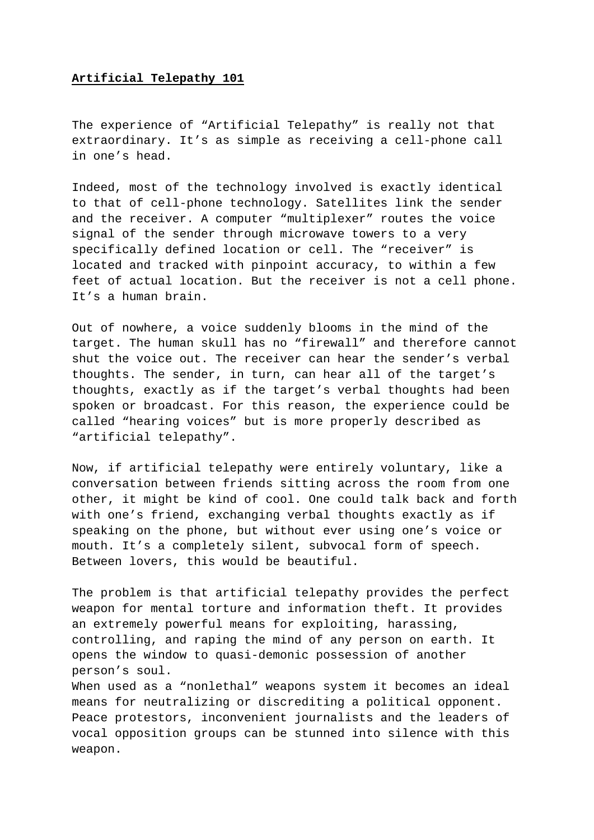## **Artificial Telepathy 101**

The experience of "Artificial Telepathy" is really not that extraordinary. It's as simple as receiving a cell-phone call in one's head.

Indeed, most of the technology involved is exactly identical to that of cell-phone technology. Satellites link the sender and the receiver. A computer "multiplexer" routes the voice signal of the sender through microwave towers to a very specifically defined location or cell. The "receiver" is located and tracked with pinpoint accuracy, to within a few feet of actual location. But the receiver is not a cell phone. It's a human brain.

Out of nowhere, a voice suddenly blooms in the mind of the target. The human skull has no "firewall" and therefore cannot shut the voice out. The receiver can hear the sender's verbal thoughts. The sender, in turn, can hear all of the target's thoughts, exactly as if the target's verbal thoughts had been spoken or broadcast. For this reason, the experience could be called "hearing voices" but is more properly described as "artificial telepathy".

Now, if artificial telepathy were entirely voluntary, like a conversation between friends sitting across the room from one other, it might be kind of cool. One could talk back and forth with one's friend, exchanging verbal thoughts exactly as if speaking on the phone, but without ever using one's voice or mouth. It's a completely silent, subvocal form of speech. Between lovers, this would be beautiful.

The problem is that artificial telepathy provides the perfect weapon for mental torture and information theft. It provides an extremely powerful means for exploiting, harassing, controlling, and raping the mind of any person on earth. It opens the window to quasi-demonic possession of another person's soul.

When used as a "nonlethal" weapons system it becomes an ideal means for neutralizing or discrediting a political opponent. Peace protestors, inconvenient journalists and the leaders of vocal opposition groups can be stunned into silence with this weapon.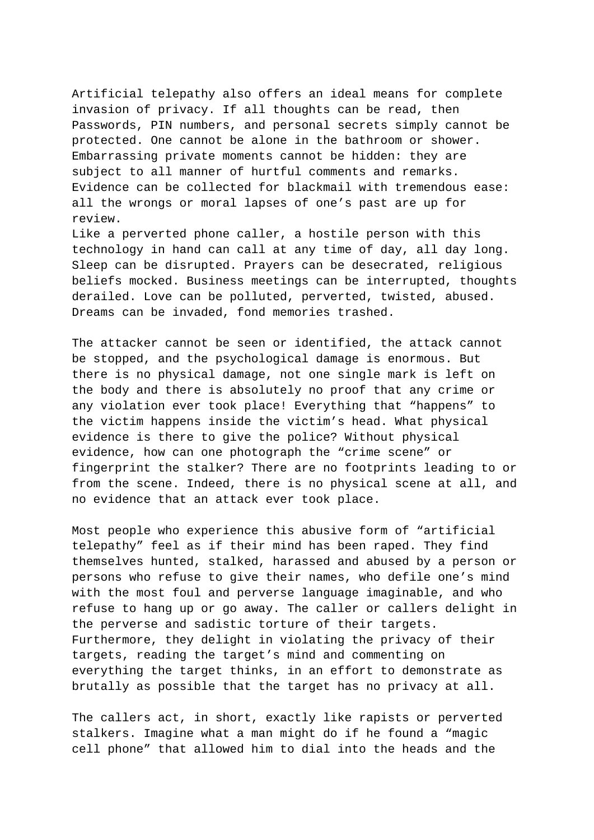Artificial telepathy also offers an ideal means for complete invasion of privacy. If all thoughts can be read, then Passwords, PIN numbers, and personal secrets simply cannot be protected. One cannot be alone in the bathroom or shower. Embarrassing private moments cannot be hidden: they are subject to all manner of hurtful comments and remarks. Evidence can be collected for blackmail with tremendous ease: all the wrongs or moral lapses of one's past are up for review.

Like a perverted phone caller, a hostile person with this technology in hand can call at any time of day, all day long. Sleep can be disrupted. Prayers can be desecrated, religious beliefs mocked. Business meetings can be interrupted, thoughts derailed. Love can be polluted, perverted, twisted, abused. Dreams can be invaded, fond memories trashed.

The attacker cannot be seen or identified, the attack cannot be stopped, and the psychological damage is enormous. But there is no physical damage, not one single mark is left on the body and there is absolutely no proof that any crime or any violation ever took place! Everything that "happens" to the victim happens inside the victim's head. What physical evidence is there to give the police? Without physical evidence, how can one photograph the "crime scene" or fingerprint the stalker? There are no footprints leading to or from the scene. Indeed, there is no physical scene at all, and no evidence that an attack ever took place.

Most people who experience this abusive form of "artificial telepathy" feel as if their mind has been raped. They find themselves hunted, stalked, harassed and abused by a person or persons who refuse to give their names, who defile one's mind with the most foul and perverse language imaginable, and who refuse to hang up or go away. The caller or callers delight in the perverse and sadistic torture of their targets. Furthermore, they delight in violating the privacy of their targets, reading the target's mind and commenting on everything the target thinks, in an effort to demonstrate as brutally as possible that the target has no privacy at all.

The callers act, in short, exactly like rapists or perverted stalkers. Imagine what a man might do if he found a "magic cell phone" that allowed him to dial into the heads and the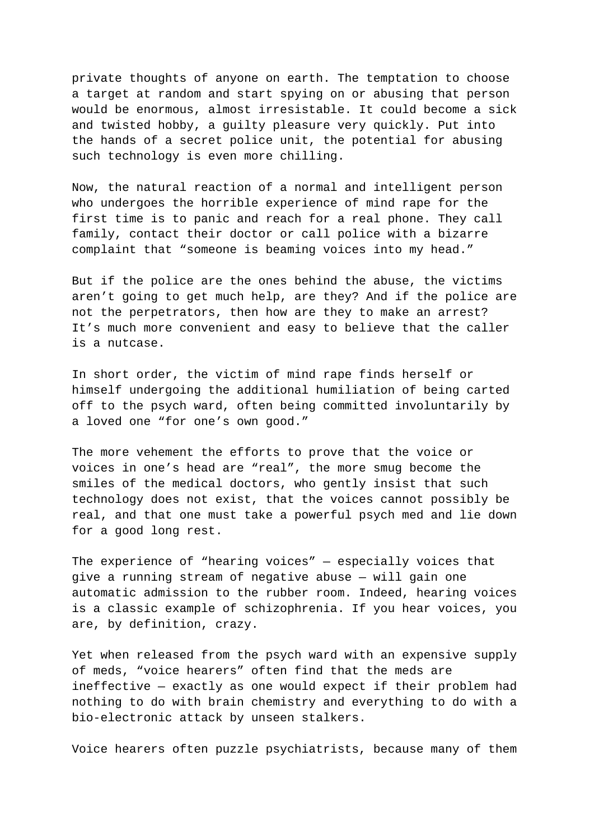private thoughts of anyone on earth. The temptation to choose a target at random and start spying on or abusing that person would be enormous, almost irresistable. It could become a sick and twisted hobby, a guilty pleasure very quickly. Put into the hands of a secret police unit, the potential for abusing such technology is even more chilling.

Now, the natural reaction of a normal and intelligent person who undergoes the horrible experience of mind rape for the first time is to panic and reach for a real phone. They call family, contact their doctor or call police with a bizarre complaint that "someone is beaming voices into my head."

But if the police are the ones behind the abuse, the victims aren't going to get much help, are they? And if the police are not the perpetrators, then how are they to make an arrest? It's much more convenient and easy to believe that the caller is a nutcase.

In short order, the victim of mind rape finds herself or himself undergoing the additional humiliation of being carted off to the psych ward, often being committed involuntarily by a loved one "for one's own good."

The more vehement the efforts to prove that the voice or voices in one's head are "real", the more smug become the smiles of the medical doctors, who gently insist that such technology does not exist, that the voices cannot possibly be real, and that one must take a powerful psych med and lie down for a good long rest.

The experience of "hearing voices" — especially voices that give a running stream of negative abuse — will gain one automatic admission to the rubber room. Indeed, hearing voices is a classic example of schizophrenia. If you hear voices, you are, by definition, crazy.

Yet when released from the psych ward with an expensive supply of meds, "voice hearers" often find that the meds are ineffective — exactly as one would expect if their problem had nothing to do with brain chemistry and everything to do with a bio-electronic attack by unseen stalkers.

Voice hearers often puzzle psychiatrists, because many of them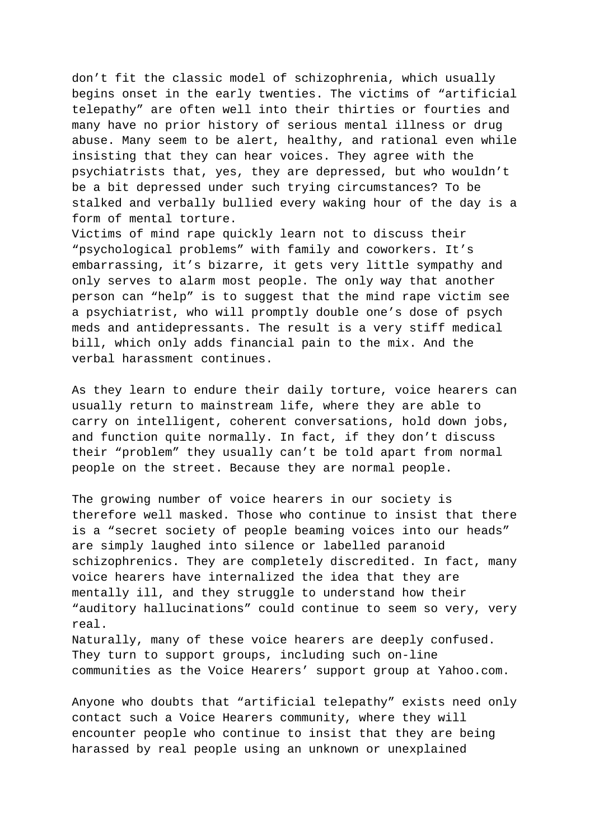don't fit the classic model of schizophrenia, which usually begins onset in the early twenties. The victims of "artificial telepathy" are often well into their thirties or fourties and many have no prior history of serious mental illness or drug abuse. Many seem to be alert, healthy, and rational even while insisting that they can hear voices. They agree with the psychiatrists that, yes, they are depressed, but who wouldn't be a bit depressed under such trying circumstances? To be stalked and verbally bullied every waking hour of the day is a form of mental torture.

Victims of mind rape quickly learn not to discuss their "psychological problems" with family and coworkers. It's embarrassing, it's bizarre, it gets very little sympathy and only serves to alarm most people. The only way that another person can "help" is to suggest that the mind rape victim see a psychiatrist, who will promptly double one's dose of psych meds and antidepressants. The result is a very stiff medical bill, which only adds financial pain to the mix. And the verbal harassment continues.

As they learn to endure their daily torture, voice hearers can usually return to mainstream life, where they are able to carry on intelligent, coherent conversations, hold down jobs, and function quite normally. In fact, if they don't discuss their "problem" they usually can't be told apart from normal people on the street. Because they are normal people.

The growing number of voice hearers in our society is therefore well masked. Those who continue to insist that there is a "secret society of people beaming voices into our heads" are simply laughed into silence or labelled paranoid schizophrenics. They are completely discredited. In fact, many voice hearers have internalized the idea that they are mentally ill, and they struggle to understand how their "auditory hallucinations" could continue to seem so very, very real. Naturally, many of these voice hearers are deeply confused. They turn to support groups, including such on-line communities as the Voice Hearers' support group at Yahoo.com.

Anyone who doubts that "artificial telepathy" exists need only contact such a Voice Hearers community, where they will encounter people who continue to insist that they are being harassed by real people using an unknown or unexplained